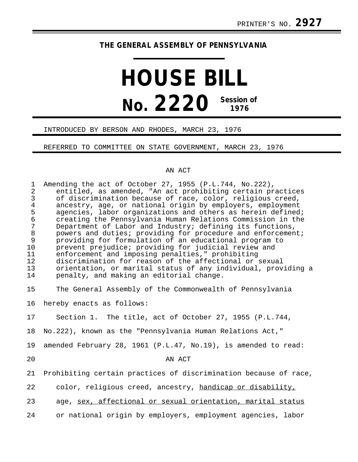## **THE GENERAL ASSEMBLY OF PENNSYLVANIA**

# **HOUSE BILL No. 2220 Session of 1976**

#### INTRODUCED BY BERSON AND RHODES, MARCH 23, 1976

#### REFERRED TO COMMITTEE ON STATE GOVERNMENT, MARCH 23, 1976

### AN ACT

| $\mathbf{1}$<br>$\overline{2}$<br>$\mathfrak{Z}$<br>$\overline{4}$<br>5<br>$\epsilon$<br>$\overline{7}$<br>$\,8\,$<br>9<br>10<br>11<br>12<br>13<br>14 | Amending the act of October 27, 1955 (P.L.744, No.222),<br>entitled, as amended, "An act prohibiting certain practices<br>of discrimination because of race, color, religious creed,<br>ancestry, age, or national origin by employers, employment<br>agencies, labor organizations and others as herein defined;<br>creating the Pennsylvania Human Relations Commission in the<br>Department of Labor and Industry; defining its functions,<br>powers and duties; providing for procedure and enforcement;<br>providing for formulation of an educational program to<br>prevent prejudice; providing for judicial review and<br>enforcement and imposing penalties," prohibiting<br>discrimination for reason of the affectional or sexual<br>orientation, or marital status of any individual, providing a<br>penalty, and making an editorial change. |
|-------------------------------------------------------------------------------------------------------------------------------------------------------|-----------------------------------------------------------------------------------------------------------------------------------------------------------------------------------------------------------------------------------------------------------------------------------------------------------------------------------------------------------------------------------------------------------------------------------------------------------------------------------------------------------------------------------------------------------------------------------------------------------------------------------------------------------------------------------------------------------------------------------------------------------------------------------------------------------------------------------------------------------|
| 15                                                                                                                                                    | The General Assembly of the Commonwealth of Pennsylvania                                                                                                                                                                                                                                                                                                                                                                                                                                                                                                                                                                                                                                                                                                                                                                                                  |
| 16                                                                                                                                                    | hereby enacts as follows:                                                                                                                                                                                                                                                                                                                                                                                                                                                                                                                                                                                                                                                                                                                                                                                                                                 |
| 17                                                                                                                                                    | Section 1. The title, act of October 27, 1955 (P.L.744,                                                                                                                                                                                                                                                                                                                                                                                                                                                                                                                                                                                                                                                                                                                                                                                                   |
| 18                                                                                                                                                    | No.222), known as the "Pennsylvania Human Relations Act,"                                                                                                                                                                                                                                                                                                                                                                                                                                                                                                                                                                                                                                                                                                                                                                                                 |
| 19                                                                                                                                                    | amended February 28, 1961 (P.L.47, No.19), is amended to read:                                                                                                                                                                                                                                                                                                                                                                                                                                                                                                                                                                                                                                                                                                                                                                                            |
| 20                                                                                                                                                    | AN ACT                                                                                                                                                                                                                                                                                                                                                                                                                                                                                                                                                                                                                                                                                                                                                                                                                                                    |
| 21                                                                                                                                                    | Prohibiting certain practices of discrimination because of race,                                                                                                                                                                                                                                                                                                                                                                                                                                                                                                                                                                                                                                                                                                                                                                                          |
| 22                                                                                                                                                    | color, religious creed, ancestry, handicap or disability,                                                                                                                                                                                                                                                                                                                                                                                                                                                                                                                                                                                                                                                                                                                                                                                                 |
| 23                                                                                                                                                    | age, sex, affectional or sexual orientation, marital status                                                                                                                                                                                                                                                                                                                                                                                                                                                                                                                                                                                                                                                                                                                                                                                               |
| 24                                                                                                                                                    | or national origin by employers, employment agencies, labor                                                                                                                                                                                                                                                                                                                                                                                                                                                                                                                                                                                                                                                                                                                                                                                               |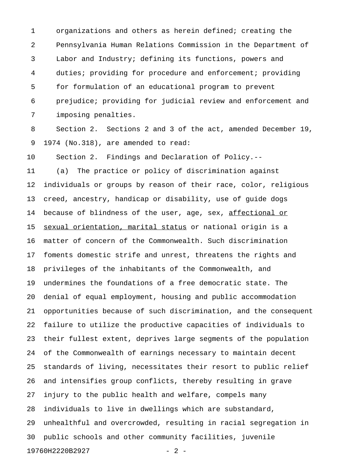1 organizations and others as herein defined; creating the 2 Pennsylvania Human Relations Commission in the Department of 3 Labor and Industry; defining its functions, powers and 4 duties; providing for procedure and enforcement; providing 5 for formulation of an educational program to prevent 6 prejudice; providing for judicial review and enforcement and 7 imposing penalties.

8 Section 2. Sections 2 and 3 of the act, amended December 19, 9 1974 (No.318), are amended to read:

10 Section 2. Findings and Declaration of Policy.--

11 (a) The practice or policy of discrimination against 12 individuals or groups by reason of their race, color, religious 13 creed, ancestry, handicap or disability, use of guide dogs 14 because of blindness of the user, age, sex, affectional or 15 sexual orientation, marital status or national origin is a 16 matter of concern of the Commonwealth. Such discrimination 17 foments domestic strife and unrest, threatens the rights and 18 privileges of the inhabitants of the Commonwealth, and 19 undermines the foundations of a free democratic state. The 20 denial of equal employment, housing and public accommodation 21 opportunities because of such discrimination, and the consequent 22 failure to utilize the productive capacities of individuals to 23 their fullest extent, deprives large segments of the population 24 of the Commonwealth of earnings necessary to maintain decent 25 standards of living, necessitates their resort to public relief 26 and intensifies group conflicts, thereby resulting in grave 27 injury to the public health and welfare, compels many 28 individuals to live in dwellings which are substandard, 29 unhealthful and overcrowded, resulting in racial segregation in 30 public schools and other community facilities, juvenile 19760H2220B2927 - 2 -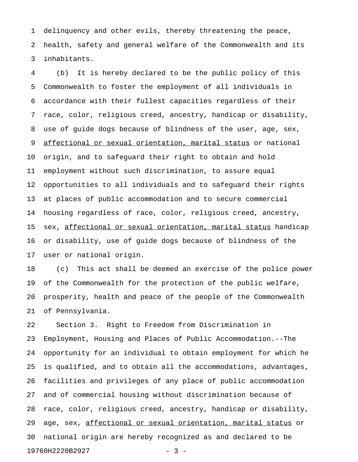1 delinquency and other evils, thereby threatening the peace, 2 health, safety and general welfare of the Commonwealth and its 3 inhabitants.

4 (b) It is hereby declared to be the public policy of this 5 Commonwealth to foster the employment of all individuals in 6 accordance with their fullest capacities regardless of their 7 race, color, religious creed, ancestry, handicap or disability, 8 use of guide dogs because of blindness of the user, age, sex, 9 <u>affectional or sexual orientation, marital status</u> or national 10 origin, and to safeguard their right to obtain and hold 11 employment without such discrimination, to assure equal 12 opportunities to all individuals and to safeguard their rights 13 at places of public accommodation and to secure commercial 14 housing regardless of race, color, religious creed, ancestry, 15 sex, affectional or sexual orientation, marital status handicap 16 or disability, use of guide dogs because of blindness of the 17 user or national origin.

18 (c) This act shall be deemed an exercise of the police power 19 of the Commonwealth for the protection of the public welfare, 20 prosperity, health and peace of the people of the Commonwealth 21 of Pennsylvania.

22 Section 3. Right to Freedom from Discrimination in 23 Employment, Housing and Places of Public Accommodation.--The 24 opportunity for an individual to obtain employment for which he 25 is qualified, and to obtain all the accommodations, advantages, 26 facilities and privileges of any place of public accommodation 27 and of commercial housing without discrimination because of 28 race, color, religious creed, ancestry, handicap or disability, 29 age, sex, affectional or sexual orientation, marital status or 30 national origin are hereby recognized as and declared to be 19760H2220B2927 - 3 -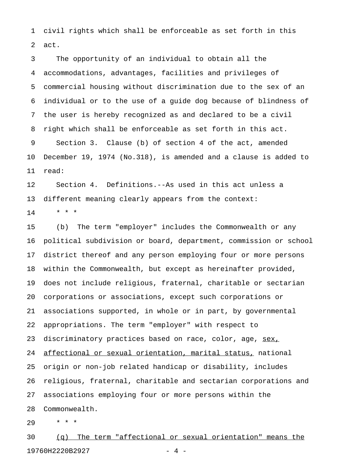1 civil rights which shall be enforceable as set forth in this 2 act.

3 The opportunity of an individual to obtain all the 4 accommodations, advantages, facilities and privileges of 5 commercial housing without discrimination due to the sex of an 6 individual or to the use of a guide dog because of blindness of 7 the user is hereby recognized as and declared to be a civil 8 right which shall be enforceable as set forth in this act. 9 Section 3. Clause (b) of section 4 of the act, amended 10 December 19, 1974 (No.318), is amended and a clause is added to 11 read:

12 Section 4. Definitions.--As used in this act unless a 13 different meaning clearly appears from the context:

 $14$  \* \* \*

15 (b) The term "employer" includes the Commonwealth or any 16 political subdivision or board, department, commission or school 17 district thereof and any person employing four or more persons 18 within the Commonwealth, but except as hereinafter provided, 19 does not include religious, fraternal, charitable or sectarian 20 corporations or associations, except such corporations or 21 associations supported, in whole or in part, by governmental 22 appropriations. The term "employer" with respect to 23 discriminatory practices based on race, color, age, sex, 24 affectional or sexual orientation, marital status, national 25 origin or non-job related handicap or disability, includes 26 religious, fraternal, charitable and sectarian corporations and 27 associations employing four or more persons within the 28 Commonwealth.

29 \* \* \*

30 (q) The term "affectional or sexual orientation" means the 19760H2220B2927 - 4 -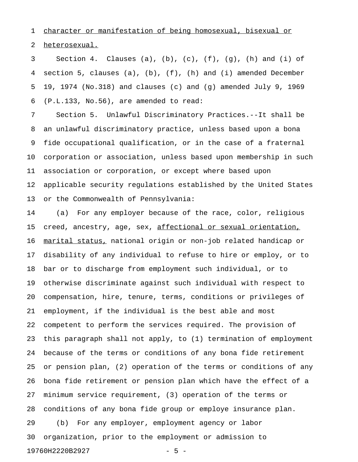1 character or manifestation of being homosexual, bisexual or

2 heterosexual.

3 Section 4. Clauses (a), (b), (c), (f), (g), (h) and (i) of 4 section 5, clauses (a), (b), (f), (h) and (i) amended December 5 19, 1974 (No.318) and clauses (c) and (g) amended July 9, 1969 6 (P.L.133, No.56), are amended to read:

7 Section 5. Unlawful Discriminatory Practices.--It shall be 8 an unlawful discriminatory practice, unless based upon a bona 9 fide occupational qualification, or in the case of a fraternal 10 corporation or association, unless based upon membership in such 11 association or corporation, or except where based upon 12 applicable security regulations established by the United States 13 or the Commonwealth of Pennsylvania:

14 (a) For any employer because of the race, color, religious 15 creed, ancestry, age, sex, affectional or sexual orientation, 16 marital status, national origin or non-job related handicap or \_\_\_\_\_\_\_\_\_\_\_\_\_\_\_ 17 disability of any individual to refuse to hire or employ, or to 18 bar or to discharge from employment such individual, or to 19 otherwise discriminate against such individual with respect to 20 compensation, hire, tenure, terms, conditions or privileges of 21 employment, if the individual is the best able and most 22 competent to perform the services required. The provision of 23 this paragraph shall not apply, to (1) termination of employment 24 because of the terms or conditions of any bona fide retirement 25 or pension plan, (2) operation of the terms or conditions of any 26 bona fide retirement or pension plan which have the effect of a 27 minimum service requirement, (3) operation of the terms or 28 conditions of any bona fide group or employe insurance plan. 29 (b) For any employer, employment agency or labor 30 organization, prior to the employment or admission to 19760H2220B2927 - 5 -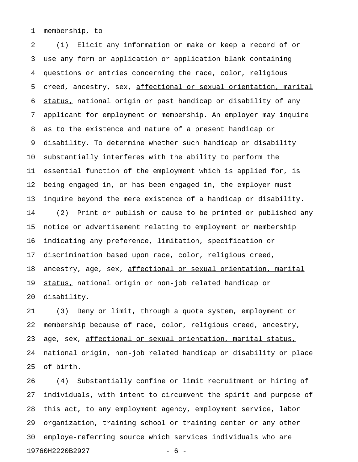1 membership, to

2 (1) Elicit any information or make or keep a record of or 3 use any form or application or application blank containing 4 questions or entries concerning the race, color, religious 5 creed, ancestry, sex, affectional or sexual orientation, marital 6 status, national origin or past handicap or disability of any 7 applicant for employment or membership. An employer may inquire 8 as to the existence and nature of a present handicap or 9 disability. To determine whether such handicap or disability 10 substantially interferes with the ability to perform the 11 essential function of the employment which is applied for, is 12 being engaged in, or has been engaged in, the employer must 13 inquire beyond the mere existence of a handicap or disability. 14 (2) Print or publish or cause to be printed or published any 15 notice or advertisement relating to employment or membership 16 indicating any preference, limitation, specification or 17 discrimination based upon race, color, religious creed, 18 ancestry, age, sex, affectional or sexual orientation, marital 19 status, national origin or non-job related handicap or 20 disability.

21 (3) Deny or limit, through a quota system, employment or 22 membership because of race, color, religious creed, ancestry, 23 age, sex, affectional or sexual orientation, marital status, 24 national origin, non-job related handicap or disability or place 25 of birth.

26 (4) Substantially confine or limit recruitment or hiring of 27 individuals, with intent to circumvent the spirit and purpose of 28 this act, to any employment agency, employment service, labor 29 organization, training school or training center or any other 30 employe-referring source which services individuals who are 19760H2220B2927 - 6 -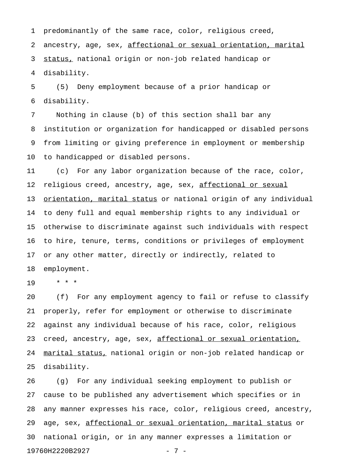1 predominantly of the same race, color, religious creed, 2 ancestry, age, sex, affectional or sexual orientation, marital 3 status, national origin or non-job related handicap or 4 disability.

5 (5) Deny employment because of a prior handicap or 6 disability.

7 Nothing in clause (b) of this section shall bar any 8 institution or organization for handicapped or disabled persons 9 from limiting or giving preference in employment or membership 10 to handicapped or disabled persons.

11 (c) For any labor organization because of the race, color, 12 religious creed, ancestry, age, sex, affectional or sexual 13 orientation, marital status or national origin of any individual 14 to deny full and equal membership rights to any individual or 15 otherwise to discriminate against such individuals with respect 16 to hire, tenure, terms, conditions or privileges of employment 17 or any other matter, directly or indirectly, related to 18 employment.

19 \* \* \*

20 (f) For any employment agency to fail or refuse to classify 21 properly, refer for employment or otherwise to discriminate 22 against any individual because of his race, color, religious 23 creed, ancestry, age, sex, affectional or sexual orientation, 24 marital status, national origin or non-job related handicap or 25 disability.

26 (g) For any individual seeking employment to publish or 27 cause to be published any advertisement which specifies or in 28 any manner expresses his race, color, religious creed, ancestry, 29 age, sex, affectional or sexual orientation, marital status or 30 national origin, or in any manner expresses a limitation or 19760H2220B2927 - 7 -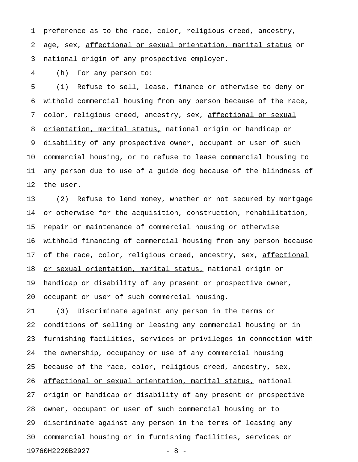1 preference as to the race, color, religious creed, ancestry, 2 age, sex, affectional or sexual orientation, marital status or 3 national origin of any prospective employer.

4 (h) For any person to:

5 (1) Refuse to sell, lease, finance or otherwise to deny or 6 withold commercial housing from any person because of the race, 7 color, religious creed, ancestry, sex, affectional or sexual 8 orientation, marital status, national origin or handicap or 9 disability of any prospective owner, occupant or user of such 10 commercial housing, or to refuse to lease commercial housing to 11 any person due to use of a guide dog because of the blindness of 12 the user.

13 (2) Refuse to lend money, whether or not secured by mortgage 14 or otherwise for the acquisition, construction, rehabilitation, 15 repair or maintenance of commercial housing or otherwise 16 withhold financing of commercial housing from any person because 17 of the race, color, religious creed, ancestry, sex, affectional 18 or sexual orientation, marital status, national origin or 19 handicap or disability of any present or prospective owner, 20 occupant or user of such commercial housing.

21 (3) Discriminate against any person in the terms or 22 conditions of selling or leasing any commercial housing or in 23 furnishing facilities, services or privileges in connection with 24 the ownership, occupancy or use of any commercial housing 25 because of the race, color, religious creed, ancestry, sex, 26 affectional or sexual orientation, marital status, national 27 origin or handicap or disability of any present or prospective 28 owner, occupant or user of such commercial housing or to 29 discriminate against any person in the terms of leasing any 30 commercial housing or in furnishing facilities, services or 19760H2220B2927 - 8 -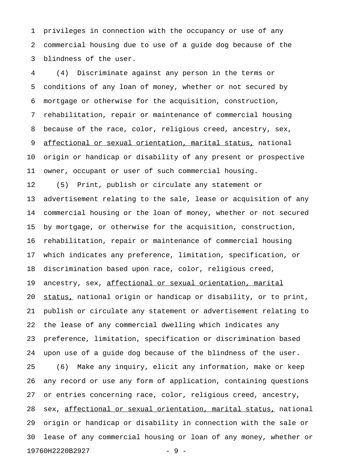1 privileges in connection with the occupancy or use of any 2 commercial housing due to use of a guide dog because of the 3 blindness of the user.

4 (4) Discriminate against any person in the terms or 5 conditions of any loan of money, whether or not secured by 6 mortgage or otherwise for the acquisition, construction, 7 rehabilitation, repair or maintenance of commercial housing 8 because of the race, color, religious creed, ancestry, sex, 9 affectional or sexual orientation, marital status, national 10 origin or handicap or disability of any present or prospective 11 owner, occupant or user of such commercial housing.

12 (5) Print, publish or circulate any statement or 13 advertisement relating to the sale, lease or acquisition of any 14 commercial housing or the loan of money, whether or not secured 15 by mortgage, or otherwise for the acquisition, construction, 16 rehabilitation, repair or maintenance of commercial housing 17 which indicates any preference, limitation, specification, or 18 discrimination based upon race, color, religious creed, 19 ancestry, sex, affectional or sexual orientation, marital 20 status, national origin or handicap or disability, or to print, 21 publish or circulate any statement or advertisement relating to 22 the lease of any commercial dwelling which indicates any 23 preference, limitation, specification or discrimination based 24 upon use of a guide dog because of the blindness of the user. 25 (6) Make any inquiry, elicit any information, make or keep 26 any record or use any form of application, containing questions 27 or entries concerning race, color, religious creed, ancestry, 28 sex, affectional or sexual orientation, marital status, national 29 origin or handicap or disability in connection with the sale or 30 lease of any commercial housing or loan of any money, whether or 19760H2220B2927 - 9 -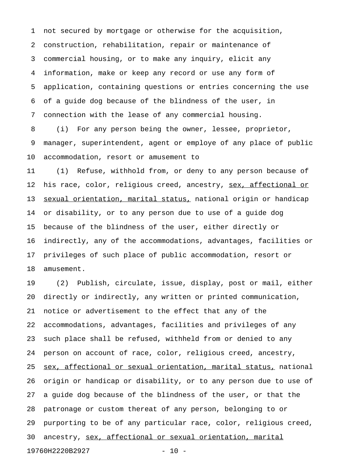1 not secured by mortgage or otherwise for the acquisition, 2 construction, rehabilitation, repair or maintenance of 3 commercial housing, or to make any inquiry, elicit any 4 information, make or keep any record or use any form of 5 application, containing questions or entries concerning the use 6 of a guide dog because of the blindness of the user, in 7 connection with the lease of any commercial housing.

8 (i) For any person being the owner, lessee, proprietor, 9 manager, superintendent, agent or employe of any place of public 10 accommodation, resort or amusement to

11 (1) Refuse, withhold from, or deny to any person because of 12 his race, color, religious creed, ancestry, sex, affectional or 13 sexual orientation, marital status, national origin or handicap 14 or disability, or to any person due to use of a guide dog 15 because of the blindness of the user, either directly or 16 indirectly, any of the accommodations, advantages, facilities or 17 privileges of such place of public accommodation, resort or 18 amusement.

19 (2) Publish, circulate, issue, display, post or mail, either 20 directly or indirectly, any written or printed communication, 21 notice or advertisement to the effect that any of the 22 accommodations, advantages, facilities and privileges of any 23 such place shall be refused, withheld from or denied to any 24 person on account of race, color, religious creed, ancestry, 25 sex, affectional or sexual orientation, marital status, national 26 origin or handicap or disability, or to any person due to use of 27 a guide dog because of the blindness of the user, or that the 28 patronage or custom thereat of any person, belonging to or 29 purporting to be of any particular race, color, religious creed, 30 ancestry, sex, affectional or sexual orientation, marital 19760H2220B2927 - 10 -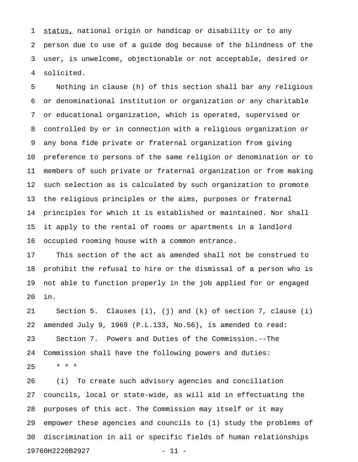1 status, national origin or handicap or disability or to any 2 person due to use of a guide dog because of the blindness of the 3 user, is unwelcome, objectionable or not acceptable, desired or 4 solicited.

5 Nothing in clause (h) of this section shall bar any religious 6 or denominational institution or organization or any charitable 7 or educational organization, which is operated, supervised or 8 controlled by or in connection with a religious organization or 9 any bona fide private or fraternal organization from giving 10 preference to persons of the same religion or denomination or to 11 members of such private or fraternal organization or from making 12 such selection as is calculated by such organization to promote 13 the religious principles or the aims, purposes or fraternal 14 principles for which it is established or maintained. Nor shall 15 it apply to the rental of rooms or apartments in a landlord 16 occupied rooming house with a common entrance.

17 This section of the act as amended shall not be construed to 18 prohibit the refusal to hire or the dismissal of a person who is 19 not able to function properly in the job applied for or engaged 20 in.

21 Section 5. Clauses (i), (j) and (k) of section 7, clause (i) 22 amended July 9, 1969 (P.L.133, No.56), is amended to read: 23 Section 7. Powers and Duties of the Commission.--The 24 Commission shall have the following powers and duties:  $25 \times * * *$ 

26 (i) To create such advisory agencies and conciliation 27 councils, local or state-wide, as will aid in effectuating the 28 purposes of this act. The Commission may itself or it may 29 empower these agencies and councils to (1) study the problems of 30 discrimination in all or specific fields of human relationships 19760H2220B2927 - 11 -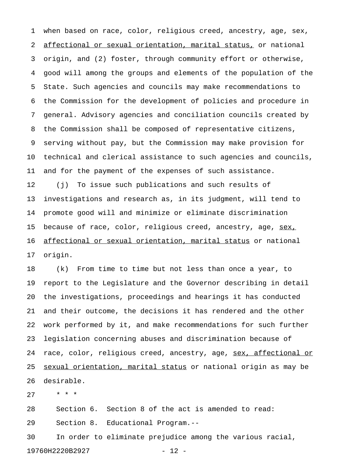1 when based on race, color, religious creed, ancestry, age, sex, 2 affectional or sexual orientation, marital status, or national 3 origin, and (2) foster, through community effort or otherwise, 4 good will among the groups and elements of the population of the 5 State. Such agencies and councils may make recommendations to 6 the Commission for the development of policies and procedure in 7 general. Advisory agencies and conciliation councils created by 8 the Commission shall be composed of representative citizens, 9 serving without pay, but the Commission may make provision for 10 technical and clerical assistance to such agencies and councils, 11 and for the payment of the expenses of such assistance. 12 (j) To issue such publications and such results of 13 investigations and research as, in its judgment, will tend to 14 promote good will and minimize or eliminate discrimination

16 affectional or sexual orientation, marital status or national 17 origin.

15 because of race, color, religious creed, ancestry, age, sex,

18 (k) From time to time but not less than once a year, to 19 report to the Legislature and the Governor describing in detail 20 the investigations, proceedings and hearings it has conducted 21 and their outcome, the decisions it has rendered and the other 22 work performed by it, and make recommendations for such further 23 legislation concerning abuses and discrimination because of 24 race, color, religious creed, ancestry, age, sex, affectional or 25 sexual orientation, marital status or national origin as may be 26 desirable.

27 \* \* \*

28 Section 6. Section 8 of the act is amended to read: 29 Section 8. Educational Program.--

30 In order to eliminate prejudice among the various racial, 19760H2220B2927 - 12 -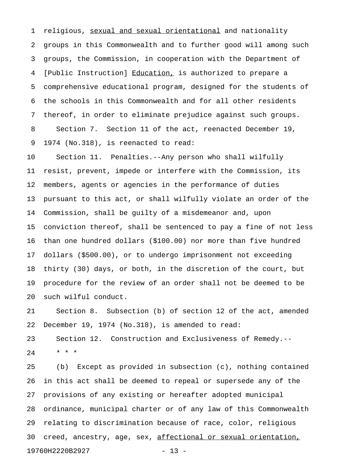1 religious, sexual and sexual orientational and nationality 2 groups in this Commonwealth and to further good will among such 3 groups, the Commission, in cooperation with the Department of 4 [Public Instruction] Education, is authorized to prepare a 5 comprehensive educational program, designed for the students of 6 the schools in this Commonwealth and for all other residents 7 thereof, in order to eliminate prejudice against such groups. 8 Section 7. Section 11 of the act, reenacted December 19, 9 1974 (No.318), is reenacted to read:

10 Section 11. Penalties.--Any person who shall wilfully 11 resist, prevent, impede or interfere with the Commission, its 12 members, agents or agencies in the performance of duties 13 pursuant to this act, or shall wilfully violate an order of the 14 Commission, shall be guilty of a misdemeanor and, upon 15 conviction thereof, shall be sentenced to pay a fine of not less 16 than one hundred dollars (\$100.00) nor more than five hundred 17 dollars (\$500.00), or to undergo imprisonment not exceeding 18 thirty (30) days, or both, in the discretion of the court, but 19 procedure for the review of an order shall not be deemed to be 20 such wilful conduct.

21 Section 8. Subsection (b) of section 12 of the act, amended 22 December 19, 1974 (No.318), is amended to read: 23 Section 12. Construction and Exclusiveness of Remedy.-- 24 \* \* \*

25 (b) Except as provided in subsection (c), nothing contained 26 in this act shall be deemed to repeal or supersede any of the 27 provisions of any existing or hereafter adopted municipal 28 ordinance, municipal charter or of any law of this Commonwealth 29 relating to discrimination because of race, color, religious 30 creed, ancestry, age, sex, affectional or sexual orientation, 19760H2220B2927 - 13 -